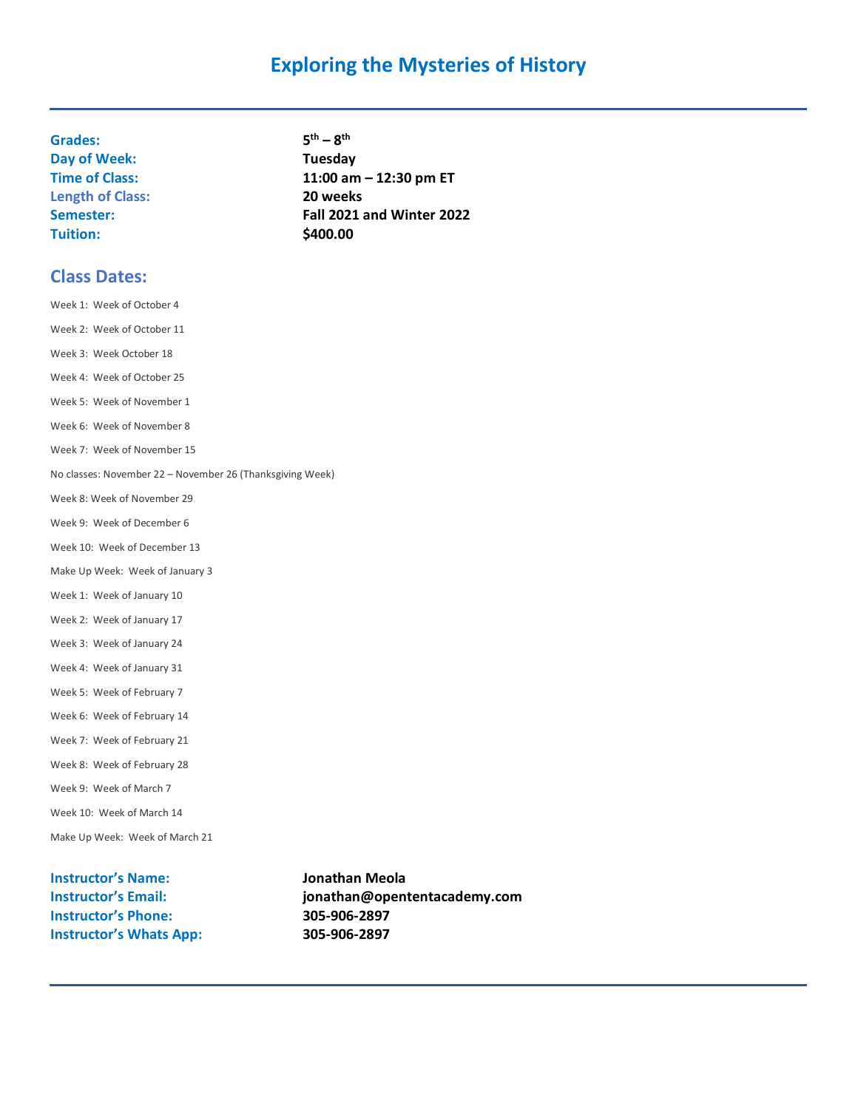## **Exploring the Mysteries of History**

**Grades: 5 Day of Week: Tuesday Length of Class: 20 weeks Tuition:** \$400.00

**th – 8 th Time of Class: 11:00 am – 12:30 pm ET Semester: Fall 2021 and Winter 2022**

#### **Class Dates:**

Week 1: Week of October 4 Week 2: Week of October 11 Week 3: Week October 18 Week 4: Week of October 25 Week 5: Week of November 1 Week 6: Week of November 8 Week 7: Week of November 15 No classes: November 22 – November 26 (Thanksgiving Week) Week 8: Week of November 29 Week 9: Week of December 6 Week 10: Week of December 13 Make Up Week: Week of January 3 Week 1: Week of January 10 Week 2: Week of January 17 Week 3: Week of January 24 Week 4: Week of January 31 Week 5: Week of February 7 Week 6: Week of February 14 Week 7: Week of February 21 Week 8: Week of February 28 Week 9: Week of March 7 Week 10: Week of March 14 Make Up Week: Week of March 21

**Instructor's Name: Jonathan Meola Instructor's Phone: 305-906-2897 Instructor's Whats App: 305-906-2897**

**Instructor's Email: jonathan@opententacademy.com**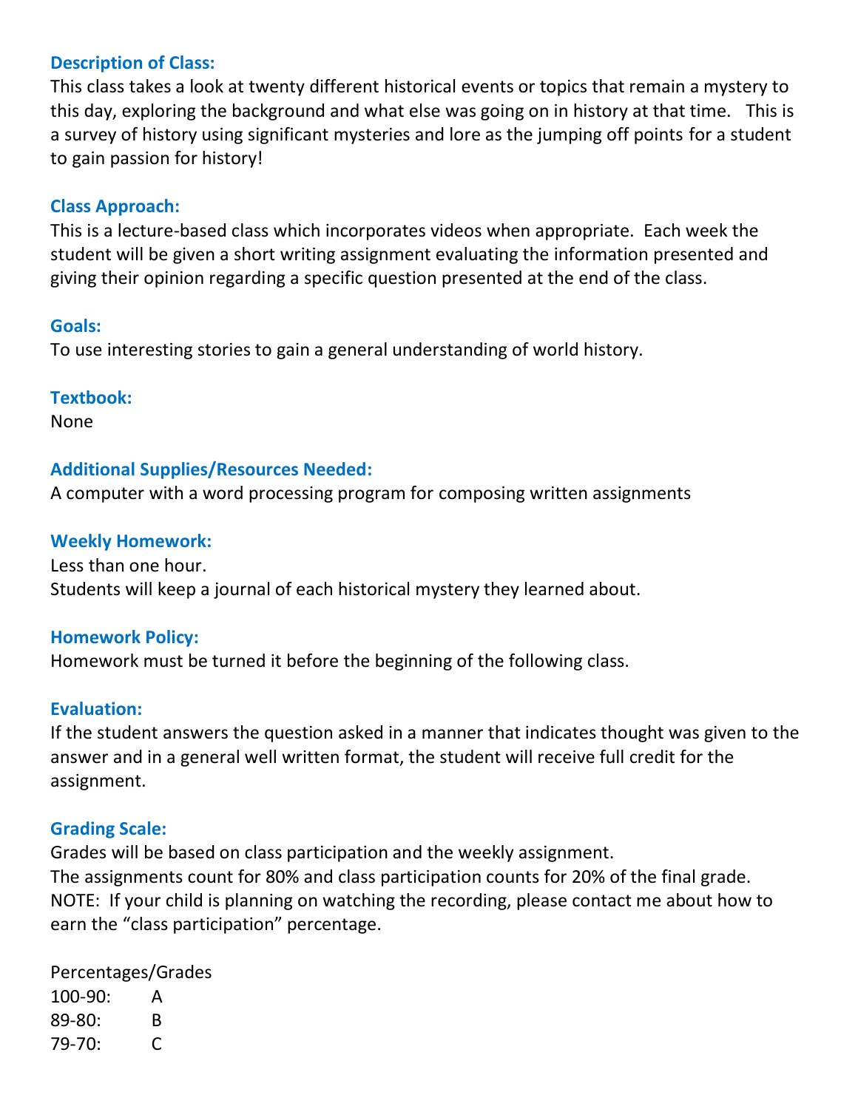### **Description of Class:**

This class takes a look at twenty different historical events or topics that remain a mystery to this day, exploring the background and what else was going on in history at that time. This is a survey of history using significant mysteries and lore as the jumping off points for a student to gain passion for history!

### **Class Approach:**

This is a lecture-based class which incorporates videos when appropriate. Each week the student will be given a short writing assignment evaluating the information presented and giving their opinion regarding a specific question presented at the end of the class.

#### **Goals:**

To use interesting stories to gain a general understanding of world history.

#### **Textbook:**

None

#### **Additional Supplies/Resources Needed:**

A computer with a word processing program for composing written assignments

#### **Weekly Homework:**

Less than one hour. Students will keep a journal of each historical mystery they learned about.

#### **Homework Policy:**

Homework must be turned it before the beginning of the following class.

#### **Evaluation:**

If the student answers the question asked in a manner that indicates thought was given to the answer and in a general well written format, the student will receive full credit for the assignment.

#### **Grading Scale:**

Grades will be based on class participation and the weekly assignment. The assignments count for 80% and class participation counts for 20% of the final grade. NOTE: If your child is planning on watching the recording, please contact me about how to earn the "class participation" percentage.

Percentages/Grades 100-90: A 89-80: B 79-70: C